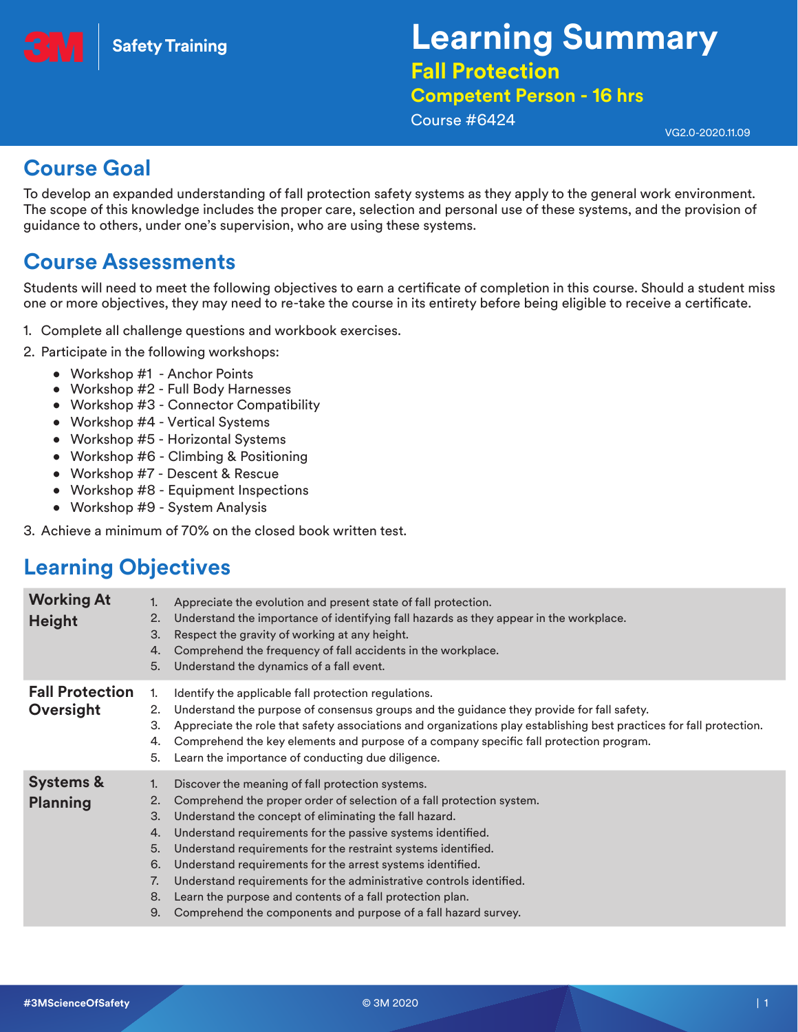

# **Learning Summary Fall Protection**

## **Competent Person - 16 hrs**

Course #6424

VG2.0-2020.11.09

#### **Course Goal**

To develop an expanded understanding of fall protection safety systems as they apply to the general work environment. The scope of this knowledge includes the proper care, selection and personal use of these systems, and the provision of guidance to others, under one's supervision, who are using these systems.

#### **Course Assessments**

Students will need to meet the following objectives to earn a certificate of completion in this course. Should a student miss one or more objectives, they may need to re-take the course in its entirety before being eligible to receive a certificate.

- 1. Complete all challenge questions and workbook exercises.
- 2. Participate in the following workshops:
	- Workshop #1 Anchor Points
	- Workshop #2 Full Body Harnesses
	- Workshop #3 Connector Compatibility
	- Workshop #4 Vertical Systems
	- Workshop #5 Horizontal Systems
	- Workshop #6 Climbing & Positioning
	- Workshop #7 Descent & Rescue
	- Workshop #8 Equipment Inspections
	- Workshop #9 System Analysis

3. Achieve a minimum of 70% on the closed book written test.

## **Learning Objectives**

| <b>Working At</b><br><b>Height</b>      | 2.<br>3.<br>4.<br>5.                         | Appreciate the evolution and present state of fall protection.<br>Understand the importance of identifying fall hazards as they appear in the workplace.<br>Respect the gravity of working at any height.<br>Comprehend the frequency of fall accidents in the workplace.<br>Understand the dynamics of a fall event.                                                                                                                                                                                                                                                                   |
|-----------------------------------------|----------------------------------------------|-----------------------------------------------------------------------------------------------------------------------------------------------------------------------------------------------------------------------------------------------------------------------------------------------------------------------------------------------------------------------------------------------------------------------------------------------------------------------------------------------------------------------------------------------------------------------------------------|
| <b>Fall Protection</b><br>Oversight     | 2.<br>З.<br>4.<br>5.                         | Identify the applicable fall protection regulations.<br>Understand the purpose of consensus groups and the guidance they provide for fall safety.<br>Appreciate the role that safety associations and organizations play establishing best practices for fall protection.<br>Comprehend the key elements and purpose of a company specific fall protection program.<br>Learn the importance of conducting due diligence.                                                                                                                                                                |
| <b>Systems &amp;</b><br><b>Planning</b> | 2.<br>З.<br>4.<br>5.<br>6.<br>7.<br>8.<br>9. | Discover the meaning of fall protection systems.<br>Comprehend the proper order of selection of a fall protection system.<br>Understand the concept of eliminating the fall hazard.<br>Understand requirements for the passive systems identified.<br>Understand requirements for the restraint systems identified.<br>Understand requirements for the arrest systems identified.<br>Understand requirements for the administrative controls identified.<br>Learn the purpose and contents of a fall protection plan.<br>Comprehend the components and purpose of a fall hazard survey. |